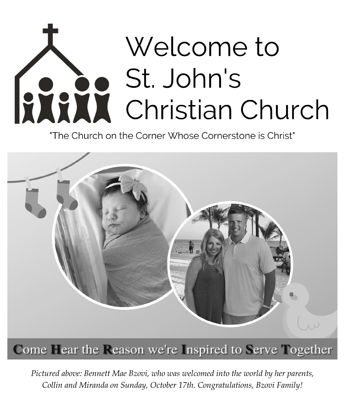# Welcome to St. John's **RANK** St. John's<br>Christian Church

"The Church on the Corner Whose Cornerstone is Christ"



Come Fear the Reason we're Inspired to Serve Together

*Pictured above: Bennett Mae Bzovi, who was welcomed into the world by her parents, Collin and Miranda on Sunday, October 17th. Congratulations, Bzovi Family!*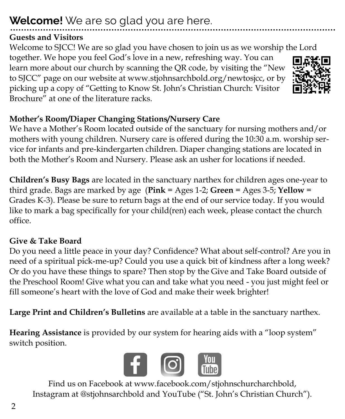## **Welcome!** We are so glad you are here.

## **Guests and Visitors**

Welcome to SJCC! We are so glad you have chosen to join us as we worship the Lord together. We hope you feel God's love in a new, refreshing way. You can learn more about our church by scanning the QR code, by visiting the "New to SJCC" page on our website at www.stjohnsarchbold.org/newtosjcc, or by picking up a copy of "Getting to Know St. John's Christian Church: Visitor Brochure" at one of the literature racks.

## **Mother's Room/Diaper Changing Stations/Nursery Care**

We have a Mother's Room located outside of the sanctuary for nursing mothers and/or mothers with young children. Nursery care is offered during the 10:30 a.m. worship service for infants and pre-kindergarten children. Diaper changing stations are located in both the Mother's Room and Nursery. Please ask an usher for locations if needed.

**Children's Busy Bags** are located in the sanctuary narthex for children ages one-year to third grade. Bags are marked by age (**Pink** = Ages 1-2; **Green** = Ages 3-5; **Yellow** = Grades K-3). Please be sure to return bags at the end of our service today. If you would like to mark a bag specifically for your child(ren) each week, please contact the church office.

## **Give & Take Board**

Do you need a little peace in your day? Confidence? What about self-control? Are you in need of a spiritual pick-me-up? Could you use a quick bit of kindness after a long week? Or do you have these things to spare? Then stop by the Give and Take Board outside of the Preschool Room! Give what you can and take what you need - you just might feel or fill someone's heart with the love of God and make their week brighter!

**Large Print and Children's Bulletins** are available at a table in the sanctuary narthex.

**Hearing Assistance** is provided by our system for hearing aids with a "loop system" switch position.



Find us on Facebook at www.facebook.com/stjohnschurcharchbold, Instagram at @stjohnsarchbold and YouTube ("St. John's Christian Church").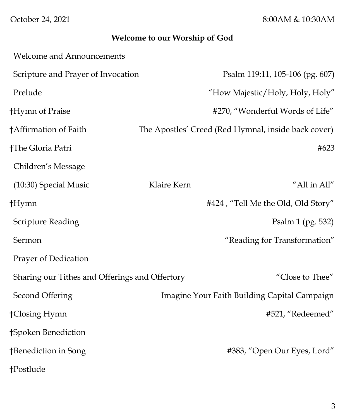October 24, 2021 8:00AM & 10:30AM

## **Welcome to our Worship of God**

| <b>Welcome and Announcements</b>               |             |                                                     |
|------------------------------------------------|-------------|-----------------------------------------------------|
| Scripture and Prayer of Invocation             |             | Psalm 119:11, 105-106 (pg. 607)                     |
| Prelude                                        |             | "How Majestic/Holy, Holy, Holy"                     |
| †Hymn of Praise                                |             | #270, "Wonderful Words of Life"                     |
| †Affirmation of Faith                          |             | The Apostles' Creed (Red Hymnal, inside back cover) |
| †The Gloria Patri                              |             | #623                                                |
| Children's Message                             |             |                                                     |
| (10:30) Special Music                          | Klaire Kern | "All in All"                                        |
| †Hymn                                          |             | #424, "Tell Me the Old, Old Story"                  |
| <b>Scripture Reading</b>                       |             | Psalm 1 (pg. 532)                                   |
| Sermon                                         |             | "Reading for Transformation"                        |
| Prayer of Dedication                           |             |                                                     |
| Sharing our Tithes and Offerings and Offertory |             | "Close to Thee"                                     |
| Second Offering                                |             | Imagine Your Faith Building Capital Campaign        |
| †Closing Hymn                                  |             | #521, "Redeemed"                                    |
| †Spoken Benediction                            |             |                                                     |
| †Benediction in Song                           |             | #383, "Open Our Eyes, Lord"                         |
| †Postlude                                      |             |                                                     |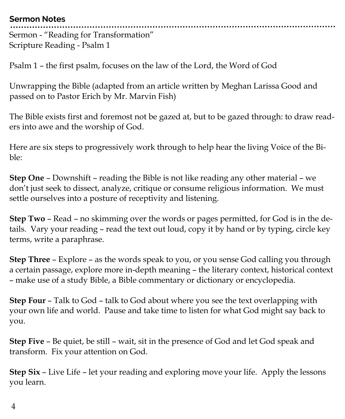#### **Sermon Notes**

Sermon - "Reading for Transformation" Scripture Reading - Psalm 1

Psalm 1 – the first psalm, focuses on the law of the Lord, the Word of God

Unwrapping the Bible (adapted from an article written by Meghan Larissa Good and passed on to Pastor Erich by Mr. Marvin Fish)

The Bible exists first and foremost not be gazed at, but to be gazed through: to draw readers into awe and the worship of God.

Here are six steps to progressively work through to help hear the living Voice of the Bible:

**Step One** – Downshift – reading the Bible is not like reading any other material – we don't just seek to dissect, analyze, critique or consume religious information. We must settle ourselves into a posture of receptivity and listening.

**Step Two** – Read – no skimming over the words or pages permitted, for God is in the details. Vary your reading – read the text out loud, copy it by hand or by typing, circle key terms, write a paraphrase.

**Step Three** – Explore – as the words speak to you, or you sense God calling you through a certain passage, explore more in-depth meaning – the literary context, historical context – make use of a study Bible, a Bible commentary or dictionary or encyclopedia.

**Step Four** – Talk to God – talk to God about where you see the text overlapping with your own life and world. Pause and take time to listen for what God might say back to you.

**Step Five** – Be quiet, be still – wait, sit in the presence of God and let God speak and transform. Fix your attention on God.

**Step Six** – Live Life – let your reading and exploring move your life. Apply the lessons you learn.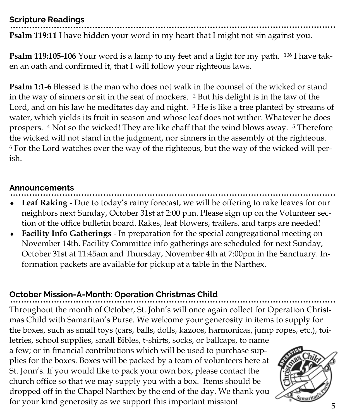#### **Scripture Readings**

**Psalm 119:11** I have hidden your word in my heart that I might not sin against you.

**Psalm 119:105-106** Your word is a lamp to my feet and a light for my path. <sup>106</sup> I have taken an oath and confirmed it, that I will follow your righteous laws.

**Psalm 1:1-6** Blessed is the man who does not walk in the counsel of the wicked or stand in the way of sinners or sit in the seat of mockers. <sup>2</sup> But his delight is in the law of the Lord, and on his law he meditates day and night. <sup>3</sup> He is like a tree planted by streams of water, which yields its fruit in season and whose leaf does not wither. Whatever he does prospers. <sup>4</sup> Not so the wicked! They are like chaff that the wind blows away. <sup>5</sup> Therefore the wicked will not stand in the judgment, nor sinners in the assembly of the righteous. <sup>6</sup> For the Lord watches over the way of the righteous, but the way of the wicked will perish.

#### **Announcements**

- **Leaf Raking**  Due to today's rainy forecast, we will be offering to rake leaves for our neighbors next Sunday, October 31st at 2:00 p.m. Please sign up on the Volunteer section of the office bulletin board. Rakes, leaf blowers, trailers, and tarps are needed!
- **Facility Info Gatherings**  In preparation for the special congregational meeting on November 14th, Facility Committee info gatherings are scheduled for next Sunday, October 31st at 11:45am and Thursday, November 4th at 7:00pm in the Sanctuary. Information packets are available for pickup at a table in the Narthex.

## **October Mission-A-Month: Operation Christmas Child**

Throughout the month of October, St. John's will once again collect for Operation Christmas Child with Samaritan's Purse. We welcome your generosity in items to supply for the boxes, such as small toys (cars, balls, dolls, kazoos, harmonicas, jump ropes, etc.), toi-

letries, school supplies, small Bibles, t-shirts, socks, or ballcaps, to name a few; or in financial contributions which will be used to purchase supplies for the boxes. Boxes will be packed by a team of volunteers here at St. Jonn's. If you would like to pack your own box, please contact the church office so that we may supply you with a box. Items should be dropped off in the Chapel Narthex by the end of the day. We thank you for your kind generosity as we support this important mission!

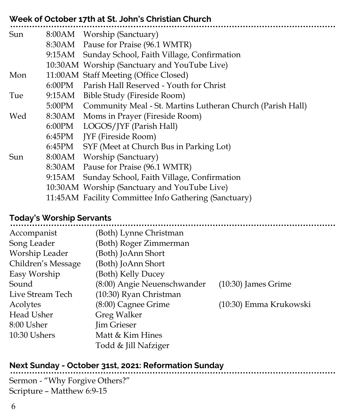| Week of October 17th at St. John's Christian Church |        |                                                                   |  |  |
|-----------------------------------------------------|--------|-------------------------------------------------------------------|--|--|
| Sun                                                 |        | 8:00AM Worship (Sanctuary)                                        |  |  |
|                                                     |        | 8:30AM Pause for Praise (96.1 WMTR)                               |  |  |
|                                                     |        | 9:15AM Sunday School, Faith Village, Confirmation                 |  |  |
|                                                     |        | 10:30AM Worship (Sanctuary and YouTube Live)                      |  |  |
| Mon                                                 |        | 11:00AM Staff Meeting (Office Closed)                             |  |  |
|                                                     |        | 6:00PM Parish Hall Reserved - Youth for Christ                    |  |  |
| Tue                                                 |        | 9:15AM Bible Study (Fireside Room)                                |  |  |
|                                                     |        | 5:00PM Community Meal - St. Martins Lutheran Church (Parish Hall) |  |  |
| Wed                                                 |        | 8:30AM Moms in Prayer (Fireside Room)                             |  |  |
|                                                     |        | 6:00PM LOGOS/JYF (Parish Hall)                                    |  |  |
|                                                     |        | 6:45PM JYF (Fireside Room)                                        |  |  |
|                                                     |        | 6:45PM SYF (Meet at Church Bus in Parking Lot)                    |  |  |
| Sun                                                 |        | 8:00AM Worship (Sanctuary)                                        |  |  |
|                                                     |        | 8:30AM Pause for Praise (96.1 WMTR)                               |  |  |
|                                                     | 9:15AM | Sunday School, Faith Village, Confirmation                        |  |  |
|                                                     |        | 10:30AM Worship (Sanctuary and YouTube Live)                      |  |  |
|                                                     |        | 11:45AM Facility Committee Info Gathering (Sanctuary)             |  |  |

### **Today's Worship Servants**

| Accompanist        | (Both) Lynne Christman      |                        |
|--------------------|-----------------------------|------------------------|
| Song Leader        | (Both) Roger Zimmerman      |                        |
| Worship Leader     | (Both) JoAnn Short          |                        |
| Children's Message | (Both) JoAnn Short          |                        |
| Easy Worship       | (Both) Kelly Ducey          |                        |
| Sound              | (8:00) Angie Neuenschwander | $(10:30)$ James Grime  |
| Live Stream Tech   | (10:30) Ryan Christman      |                        |
| Acolytes           | (8:00) Cagnee Grime         | (10:30) Emma Krukowski |
| Head Usher         | Greg Walker                 |                        |
| 8:00 Usher         | <b>Jim Grieser</b>          |                        |
| 10:30 Ushers       | Matt & Kim Hines            |                        |
|                    | Todd & Jill Nafziger        |                        |

## **Next Sunday - October 31st, 2021: Reformation Sunday**

Sermon - "Why Forgive Others?" Scripture – Matthew 6:9-15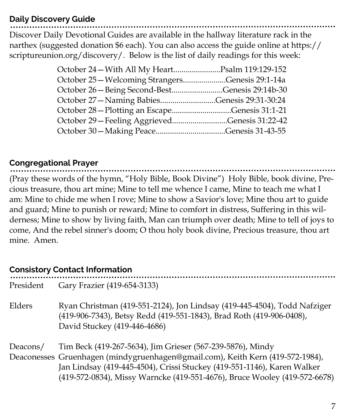#### **Daily Discovery Guide**

Discover Daily Devotional Guides are available in the hallway literature rack in the narthex (suggested donation \$6 each). You can also access the guide online at https:// scriptureunion.org/discovery/. Below is the list of daily readings for this week:

| October 24 – With All My HeartPsalm 119:129-152  |  |
|--------------------------------------------------|--|
| October 25 – Welcoming StrangersGenesis 29:1-14a |  |
| October 26 - Being Second-BestGenesis 29:14b-30  |  |
| October 27 - Naming BabiesGenesis 29:31-30:24    |  |
| October 28 – Plotting an EscapeGenesis 31:1-21   |  |
| October 29 - Feeling AggrievedGenesis 31:22-42   |  |
|                                                  |  |
|                                                  |  |

#### **Congregational Prayer**

(Pray these words of the hymn, "Holy Bible, Book Divine") Holy Bible, book divine, Precious treasure, thou art mine; Mine to tell me whence I came, Mine to teach me what I am: Mine to chide me when I rove; Mine to show a Savior's love; Mine thou art to guide and guard; Mine to punish or reward; Mine to comfort in distress, Suffering in this wilderness; Mine to show by living faith, Man can triumph over death; Mine to tell of joys to come, And the rebel sinner's doom; O thou holy book divine, Precious treasure, thou art mine. Amen.

## **Consistory Contact Information**

| President | Gary Frazier (419-654-3133)                                                                                                                                                                                                                                                                          |
|-----------|------------------------------------------------------------------------------------------------------------------------------------------------------------------------------------------------------------------------------------------------------------------------------------------------------|
| Elders    | Ryan Christman (419-551-2124), Jon Lindsay (419-445-4504), Todd Nafziger<br>(419-906-7343), Betsy Redd (419-551-1843), Brad Roth (419-906-0408),<br>David Stuckey (419-446-4686)                                                                                                                     |
| Deacons/  | Tim Beck (419-267-5634), Jim Grieser (567-239-5876), Mindy<br>Deaconesses Gruenhagen (mindygruenhagen@gmail.com), Keith Kern (419-572-1984),<br>Jan Lindsay (419-445-4504), Crissi Stuckey (419-551-1146), Karen Walker<br>(419-572-0834), Missy Warncke (419-551-4676), Bruce Wooley (419-572-6678) |